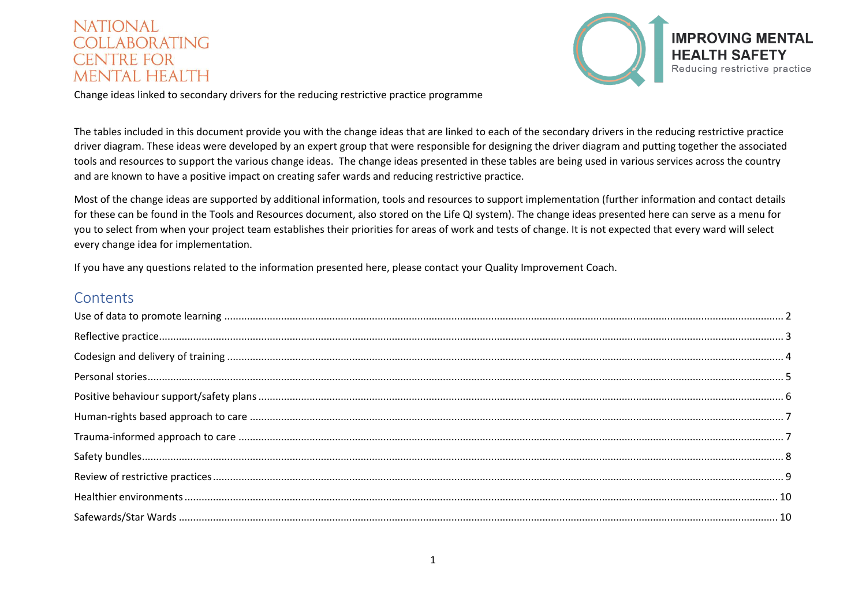

Change ideas linked to secondary drivers for the reducing restrictive practice programme

The tables included in this document provide you with the change ideas that are linked to each of the secondary drivers in the reducing restrictive practice driver diagram. These ideas were developed by an expert group that were responsible for designing the driver diagram and putting together the associated tools and resources to support the various change ideas. The change ideas presented in these tables are being used in various services across the country and are known to have a positive impact on creating safer wards and reducing restrictive practice.

Most of the change ideas are supported by additional information, tools and resources to support implementation (further information and contact details for these can be found in the Tools and Resources document, also stored on the Life QI system). The change ideas presented here can serve as a menu for you to select from when your project team establishes their priorities for areas of work and tests of change. It is not expected that every ward will select every change idea for implementation.

If you have any questions related to the information presented here, please contact your Quality Improvement Coach.

#### **Contents**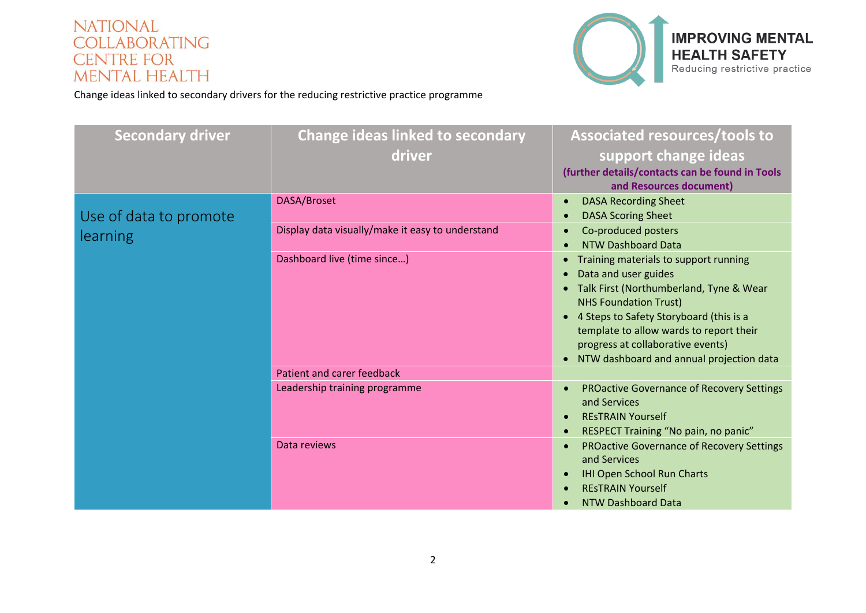

<span id="page-1-0"></span>

| <b>Secondary driver</b> | <b>Change ideas linked to secondary</b><br>driver | <b>Associated resources/tools to</b><br>support change ideas<br>(further details/contacts can be found in Tools<br>and Resources document)                                                                                                                                                                          |
|-------------------------|---------------------------------------------------|---------------------------------------------------------------------------------------------------------------------------------------------------------------------------------------------------------------------------------------------------------------------------------------------------------------------|
| Use of data to promote  | DASA/Broset                                       | <b>DASA Recording Sheet</b><br><b>DASA Scoring Sheet</b>                                                                                                                                                                                                                                                            |
| learning                | Display data visually/make it easy to understand  | Co-produced posters<br><b>NTW Dashboard Data</b>                                                                                                                                                                                                                                                                    |
|                         | Dashboard live (time since)                       | Training materials to support running<br>Data and user guides<br>• Talk First (Northumberland, Tyne & Wear<br><b>NHS Foundation Trust)</b><br>• 4 Steps to Safety Storyboard (this is a<br>template to allow wards to report their<br>progress at collaborative events)<br>NTW dashboard and annual projection data |
|                         | Patient and carer feedback                        |                                                                                                                                                                                                                                                                                                                     |
|                         | Leadership training programme                     | <b>PROactive Governance of Recovery Settings</b><br>and Services<br><b>RESTRAIN Yourself</b><br>RESPECT Training "No pain, no panic"                                                                                                                                                                                |
|                         | Data reviews                                      | <b>PROactive Governance of Recovery Settings</b><br>and Services<br><b>IHI Open School Run Charts</b><br><b>RESTRAIN Yourself</b><br>NTW Dashboard Data                                                                                                                                                             |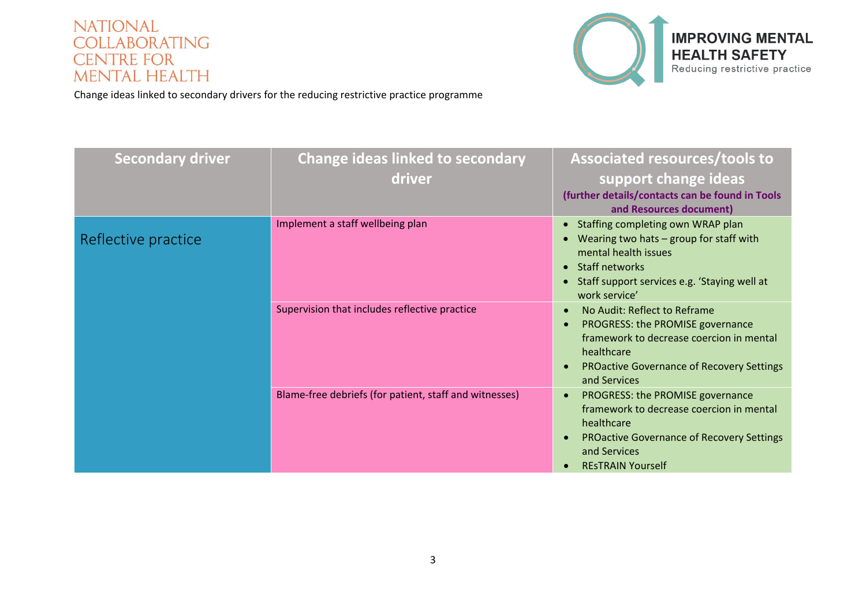

<span id="page-2-0"></span>

| <b>Secondary driver</b> | <b>Change ideas linked to secondary</b>                | <b>Associated resources/tools to</b>                                                      |
|-------------------------|--------------------------------------------------------|-------------------------------------------------------------------------------------------|
|                         | driver                                                 | support change ideas                                                                      |
|                         |                                                        | (further details/contacts can be found in Tools<br>and Resources document)                |
|                         | Implement a staff wellbeing plan                       | Staffing completing own WRAP plan                                                         |
| Reflective practice     |                                                        | Wearing two hats - group for staff with<br>mental health issues                           |
|                         |                                                        | <b>Staff networks</b><br>$\bullet$                                                        |
|                         |                                                        | Staff support services e.g. 'Staying well at<br>$\bullet$<br>work service'                |
|                         | Supervision that includes reflective practice          | No Audit: Reflect to Reframe<br>$\bullet$                                                 |
|                         |                                                        | PROGRESS: the PROMISE governance<br>$\bullet$<br>framework to decrease coercion in mental |
|                         |                                                        | healthcare                                                                                |
|                         |                                                        | <b>PROactive Governance of Recovery Settings</b><br>$\bullet$<br>and Services             |
|                         | Blame-free debriefs (for patient, staff and witnesses) | PROGRESS: the PROMISE governance<br>$\bullet$                                             |
|                         |                                                        | framework to decrease coercion in mental<br>healthcare                                    |
|                         |                                                        | <b>PROactive Governance of Recovery Settings</b><br>$\bullet$<br>and Services             |
|                         |                                                        | <b>RESTRAIN Yourself</b>                                                                  |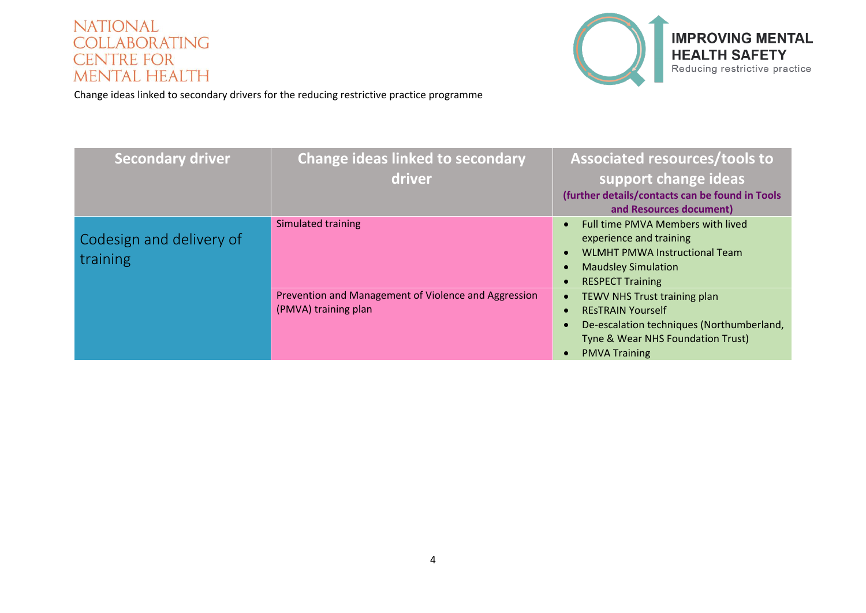

<span id="page-3-0"></span>

| <b>Secondary driver</b>              | <b>Change ideas linked to secondary</b>                                      | <b>Associated resources/tools to</b>                                                                                                                               |
|--------------------------------------|------------------------------------------------------------------------------|--------------------------------------------------------------------------------------------------------------------------------------------------------------------|
|                                      | driver                                                                       | support change ideas                                                                                                                                               |
|                                      |                                                                              | (further details/contacts can be found in Tools<br>and Resources document)                                                                                         |
| Codesign and delivery of<br>training | Simulated training                                                           | Full time PMVA Members with lived<br>experience and training<br><b>WLMHT PMWA Instructional Team</b><br><b>Maudsley Simulation</b><br><b>RESPECT Training</b>      |
|                                      | Prevention and Management of Violence and Aggression<br>(PMVA) training plan | TEWV NHS Trust training plan<br><b>RESTRAIN Yourself</b><br>De-escalation techniques (Northumberland,<br>Tyne & Wear NHS Foundation Trust)<br><b>PMVA Training</b> |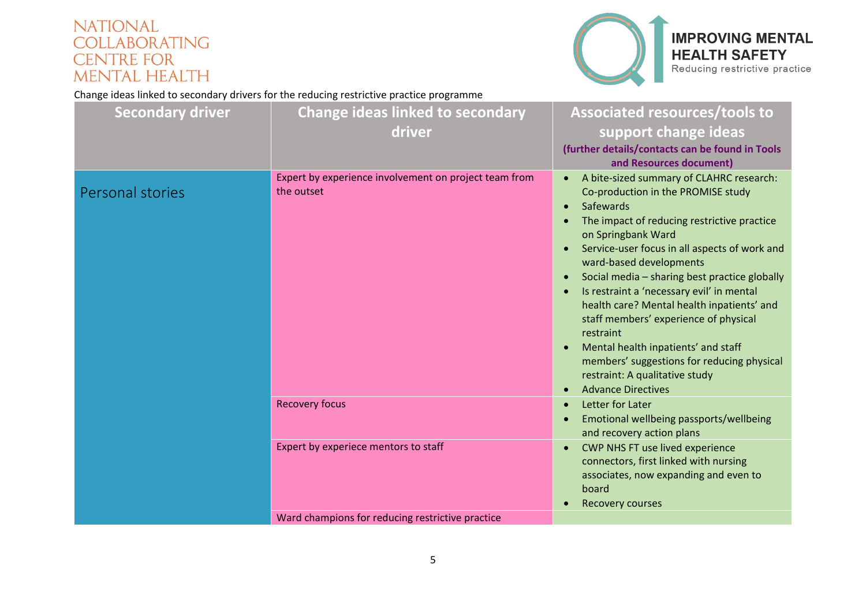

#### **IMPROVING MENTAL HEALTH SAFETY** Reducing restrictive practice

<span id="page-4-0"></span>

| <b>Secondary driver</b> | <b>Change ideas linked to secondary</b><br>driver                   | Associated resources/tools to<br>support change ideas<br>(further details/contacts can be found in Tools<br>and Resources document)                                                                                                                                                                                                                                                                                                                                                                                                                                                                             |
|-------------------------|---------------------------------------------------------------------|-----------------------------------------------------------------------------------------------------------------------------------------------------------------------------------------------------------------------------------------------------------------------------------------------------------------------------------------------------------------------------------------------------------------------------------------------------------------------------------------------------------------------------------------------------------------------------------------------------------------|
| Personal stories        | Expert by experience involvement on project team from<br>the outset | A bite-sized summary of CLAHRC research:<br>Co-production in the PROMISE study<br>Safewards<br>$\bullet$<br>The impact of reducing restrictive practice<br>on Springbank Ward<br>Service-user focus in all aspects of work and<br>ward-based developments<br>Social media - sharing best practice globally<br>Is restraint a 'necessary evil' in mental<br>health care? Mental health inpatients' and<br>staff members' experience of physical<br>restraint<br>Mental health inpatients' and staff<br>members' suggestions for reducing physical<br>restraint: A qualitative study<br><b>Advance Directives</b> |
|                         | <b>Recovery focus</b>                                               | Letter for Later<br>Emotional wellbeing passports/wellbeing<br>and recovery action plans                                                                                                                                                                                                                                                                                                                                                                                                                                                                                                                        |
|                         | Expert by experiece mentors to staff                                | CWP NHS FT use lived experience<br>connectors, first linked with nursing<br>associates, now expanding and even to<br>board<br><b>Recovery courses</b>                                                                                                                                                                                                                                                                                                                                                                                                                                                           |
|                         | Ward champions for reducing restrictive practice                    |                                                                                                                                                                                                                                                                                                                                                                                                                                                                                                                                                                                                                 |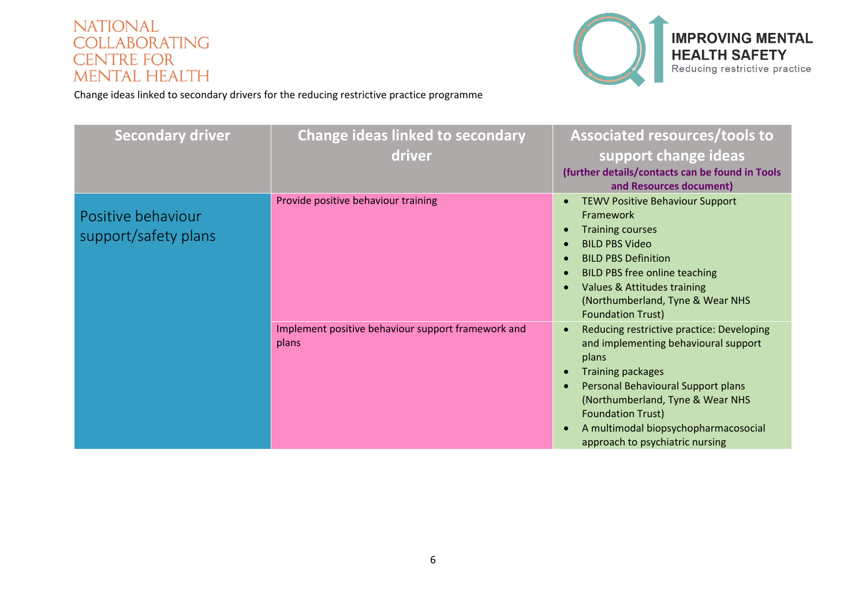

<span id="page-5-0"></span>

| <b>Secondary driver</b> | <b>Change ideas linked to secondary</b>            | Associated resources/tools to                          |
|-------------------------|----------------------------------------------------|--------------------------------------------------------|
|                         | driver                                             | support change ideas                                   |
|                         |                                                    | (further details/contacts can be found in Tools        |
|                         |                                                    | and Resources document)                                |
|                         | Provide positive behaviour training                | <b>TEWV Positive Behaviour Support</b><br>$\bullet$    |
| Positive behaviour      |                                                    | Framework                                              |
| support/safety plans    |                                                    | <b>Training courses</b><br>$\bullet$                   |
|                         |                                                    | <b>BILD PBS Video</b>                                  |
|                         |                                                    | <b>BILD PBS Definition</b><br>$\bullet$                |
|                         |                                                    | <b>BILD PBS free online teaching</b><br>$\bullet$      |
|                         |                                                    | Values & Attitudes training                            |
|                         |                                                    | (Northumberland, Tyne & Wear NHS                       |
|                         |                                                    | <b>Foundation Trust)</b>                               |
|                         | Implement positive behaviour support framework and | Reducing restrictive practice: Developing<br>$\bullet$ |
|                         | plans                                              | and implementing behavioural support<br>plans          |
|                         |                                                    | <b>Training packages</b>                               |
|                         |                                                    | Personal Behavioural Support plans<br>$\bullet$        |
|                         |                                                    | (Northumberland, Tyne & Wear NHS                       |
|                         |                                                    | <b>Foundation Trust)</b>                               |
|                         |                                                    | A multimodal biopsychopharmacosocial<br>$\bullet$      |
|                         |                                                    | approach to psychiatric nursing                        |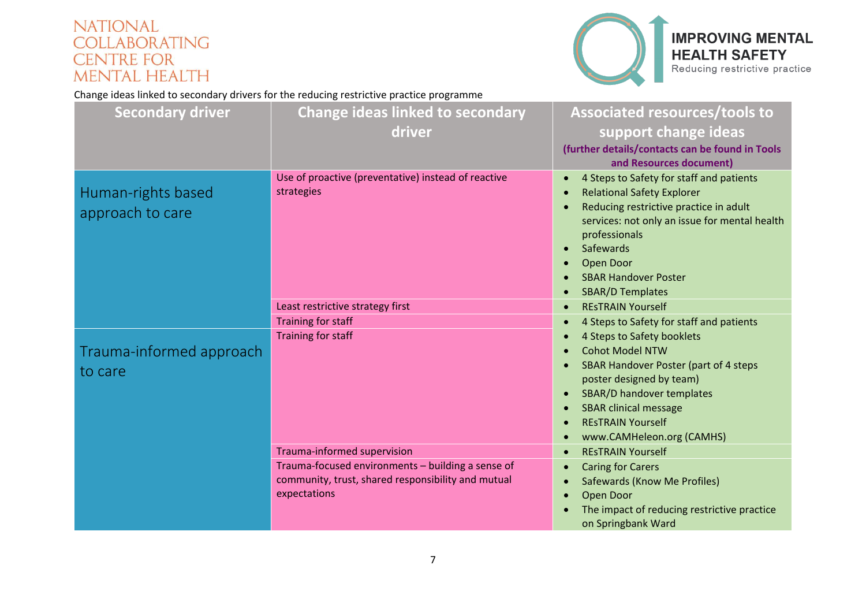

#### **IMPROVING MENTAL HEALTH SAFETY** Reducing restrictive practice

<span id="page-6-1"></span><span id="page-6-0"></span>

| <b>Secondary driver</b>                | <b>Change ideas linked to secondary</b>                                                                                 | Associated resources/tools to                                                                                                                                                                                                                                                                                        |
|----------------------------------------|-------------------------------------------------------------------------------------------------------------------------|----------------------------------------------------------------------------------------------------------------------------------------------------------------------------------------------------------------------------------------------------------------------------------------------------------------------|
|                                        | driver                                                                                                                  | support change ideas                                                                                                                                                                                                                                                                                                 |
|                                        |                                                                                                                         | (further details/contacts can be found in Tools<br>and Resources document)                                                                                                                                                                                                                                           |
| Human-rights based<br>approach to care | Use of proactive (preventative) instead of reactive<br>strategies                                                       | 4 Steps to Safety for staff and patients<br>$\bullet$<br><b>Relational Safety Explorer</b><br>Reducing restrictive practice in adult<br>$\bullet$<br>services: not only an issue for mental health<br>professionals<br>Safewards<br>Open Door<br>$\bullet$<br><b>SBAR Handover Poster</b><br><b>SBAR/D Templates</b> |
|                                        | Least restrictive strategy first                                                                                        | <b>RESTRAIN Yourself</b><br>$\bullet$                                                                                                                                                                                                                                                                                |
|                                        | Training for staff                                                                                                      | 4 Steps to Safety for staff and patients<br>$\bullet$                                                                                                                                                                                                                                                                |
| Trauma-informed approach<br>to care    | Training for staff                                                                                                      | 4 Steps to Safety booklets<br><b>Cohot Model NTW</b><br><b>SBAR Handover Poster (part of 4 steps</b><br>poster designed by team)<br>SBAR/D handover templates<br><b>SBAR clinical message</b><br>$\bullet$<br><b>RESTRAIN Yourself</b><br>www.CAMHeleon.org (CAMHS)<br>$\bullet$                                     |
|                                        | Trauma-informed supervision                                                                                             | <b>RESTRAIN Yourself</b>                                                                                                                                                                                                                                                                                             |
|                                        | Trauma-focused environments - building a sense of<br>community, trust, shared responsibility and mutual<br>expectations | <b>Caring for Carers</b><br>Safewards (Know Me Profiles)<br>Open Door<br>The impact of reducing restrictive practice<br>on Springbank Ward                                                                                                                                                                           |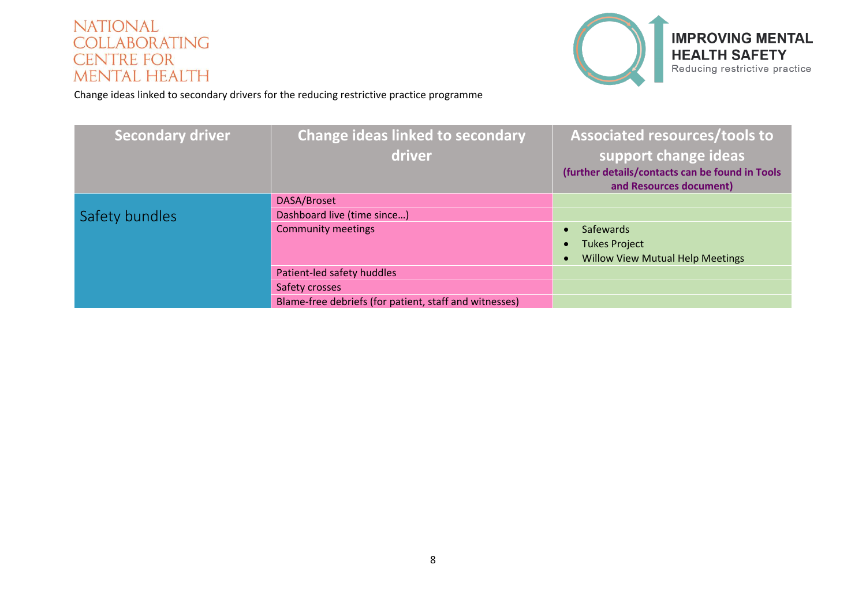

<span id="page-7-0"></span>

| <b>Secondary driver</b> | <b>Change ideas linked to secondary</b><br>driver      | Associated resources/tools to<br>support change ideas<br>(further details/contacts can be found in Tools<br>and Resources document) |
|-------------------------|--------------------------------------------------------|-------------------------------------------------------------------------------------------------------------------------------------|
|                         | DASA/Broset                                            |                                                                                                                                     |
| Safety bundles          | Dashboard live (time since)                            |                                                                                                                                     |
|                         | <b>Community meetings</b>                              | Safewards                                                                                                                           |
|                         |                                                        | <b>Tukes Project</b><br>$\bullet$                                                                                                   |
|                         |                                                        | <b>Willow View Mutual Help Meetings</b>                                                                                             |
|                         | Patient-led safety huddles                             |                                                                                                                                     |
|                         | Safety crosses                                         |                                                                                                                                     |
|                         | Blame-free debriefs (for patient, staff and witnesses) |                                                                                                                                     |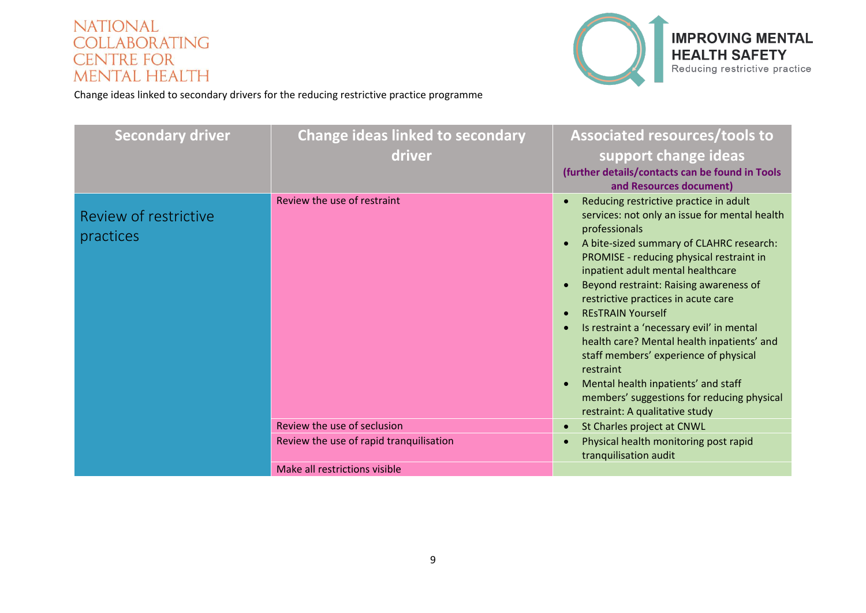

<span id="page-8-0"></span>

| <b>Secondary driver</b>            | <b>Change ideas linked to secondary</b><br>driver | <b>Associated resources/tools to</b><br>support change ideas<br>(further details/contacts can be found in Tools<br>and Resources document)                                                                                                                                                                                                                                                                                                                                                                                                                                                                                                                                                               |
|------------------------------------|---------------------------------------------------|----------------------------------------------------------------------------------------------------------------------------------------------------------------------------------------------------------------------------------------------------------------------------------------------------------------------------------------------------------------------------------------------------------------------------------------------------------------------------------------------------------------------------------------------------------------------------------------------------------------------------------------------------------------------------------------------------------|
| Review of restrictive<br>practices | Review the use of restraint                       | Reducing restrictive practice in adult<br>$\bullet$<br>services: not only an issue for mental health<br>professionals<br>A bite-sized summary of CLAHRC research:<br>$\bullet$<br>PROMISE - reducing physical restraint in<br>inpatient adult mental healthcare<br>Beyond restraint: Raising awareness of<br>$\bullet$<br>restrictive practices in acute care<br><b>RESTRAIN Yourself</b><br>$\bullet$<br>Is restraint a 'necessary evil' in mental<br>$\bullet$<br>health care? Mental health inpatients' and<br>staff members' experience of physical<br>restraint<br>Mental health inpatients' and staff<br>$\bullet$<br>members' suggestions for reducing physical<br>restraint: A qualitative study |
|                                    | Review the use of seclusion                       | St Charles project at CNWL<br>$\bullet$                                                                                                                                                                                                                                                                                                                                                                                                                                                                                                                                                                                                                                                                  |
|                                    | Review the use of rapid tranquilisation           | Physical health monitoring post rapid<br>$\bullet$<br>tranquilisation audit                                                                                                                                                                                                                                                                                                                                                                                                                                                                                                                                                                                                                              |
|                                    | Make all restrictions visible                     |                                                                                                                                                                                                                                                                                                                                                                                                                                                                                                                                                                                                                                                                                                          |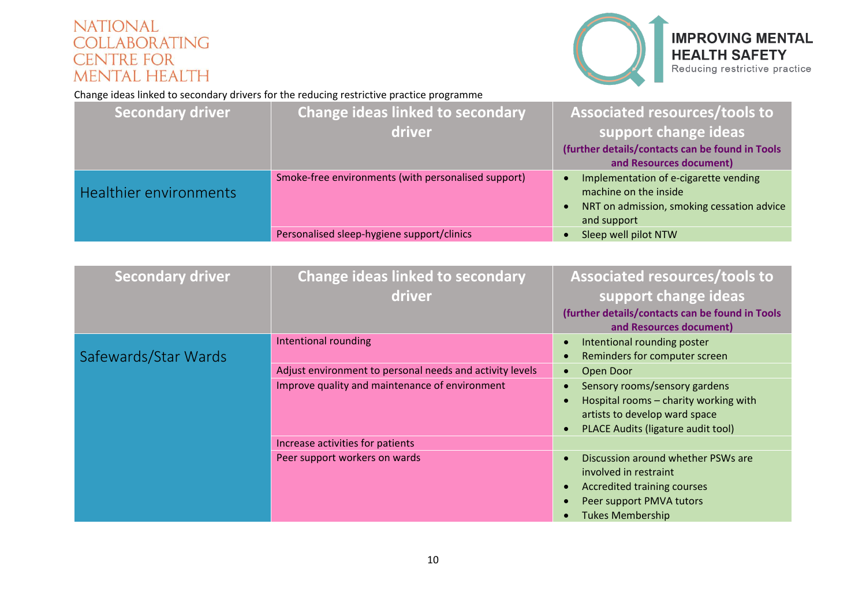

# **IMPROVING MENTAL HEALTH SAFETY** Reducing restrictive practice

<span id="page-9-0"></span>

| <b>Secondary driver</b> | <b>Change ideas linked to secondary</b>             | Associated resources/tools to                                  |
|-------------------------|-----------------------------------------------------|----------------------------------------------------------------|
|                         | driver                                              | support change ideas                                           |
|                         |                                                     | (further details/contacts can be found in Tools                |
|                         |                                                     | and Resources document)                                        |
| Healthier environments  | Smoke-free environments (with personalised support) | Implementation of e-cigarette vending<br>machine on the inside |
|                         |                                                     | NRT on admission, smoking cessation advice<br>and support      |
|                         | Personalised sleep-hygiene support/clinics          | Sleep well pilot NTW                                           |

<span id="page-9-1"></span>

| <b>Secondary driver</b> | <b>Change ideas linked to secondary</b><br>driver        | <b>Associated resources/tools to</b><br>support change ideas<br>(further details/contacts can be found in Tools<br>and Resources document)                                               |
|-------------------------|----------------------------------------------------------|------------------------------------------------------------------------------------------------------------------------------------------------------------------------------------------|
| Safewards/Star Wards    | Intentional rounding                                     | Intentional rounding poster<br>$\bullet$<br>Reminders for computer screen<br>$\bullet$                                                                                                   |
|                         | Adjust environment to personal needs and activity levels | Open Door<br>$\bullet$                                                                                                                                                                   |
|                         | Improve quality and maintenance of environment           | Sensory rooms/sensory gardens<br>$\bullet$<br>Hospital rooms - charity working with<br>artists to develop ward space<br>PLACE Audits (ligature audit tool)<br>$\bullet$                  |
|                         | Increase activities for patients                         |                                                                                                                                                                                          |
|                         | Peer support workers on wards                            | Discussion around whether PSWs are<br>$\bullet$<br>involved in restraint<br>Accredited training courses<br>$\bullet$<br>Peer support PMVA tutors<br><b>Tukes Membership</b><br>$\bullet$ |